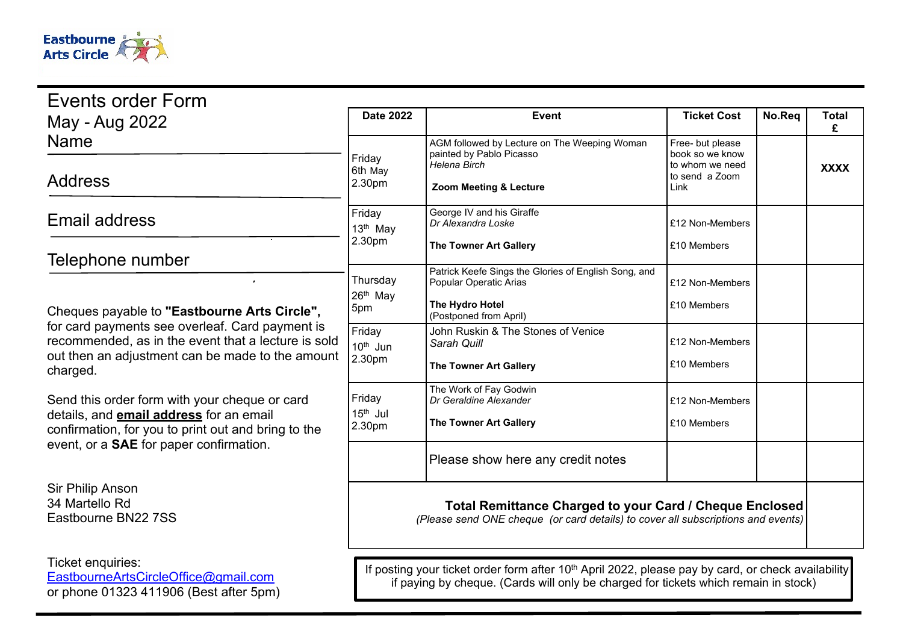

| Events order Form                                                                                                                                                                                                      |                                                                                                                                                                                                       |                                                                                                                             |                                                                                  |        |                   |
|------------------------------------------------------------------------------------------------------------------------------------------------------------------------------------------------------------------------|-------------------------------------------------------------------------------------------------------------------------------------------------------------------------------------------------------|-----------------------------------------------------------------------------------------------------------------------------|----------------------------------------------------------------------------------|--------|-------------------|
| May - Aug 2022                                                                                                                                                                                                         | <b>Date 2022</b>                                                                                                                                                                                      | <b>Event</b>                                                                                                                | <b>Ticket Cost</b>                                                               | No.Req | <b>Total</b><br>£ |
| <b>Name</b><br><b>Address</b>                                                                                                                                                                                          | Friday<br>6th May<br>2.30pm                                                                                                                                                                           | AGM followed by Lecture on The Weeping Woman<br>painted by Pablo Picasso<br>Helena Birch<br>Zoom Meeting & Lecture          | Free- but please<br>book so we know<br>to whom we need<br>to send a Zoom<br>Link |        | <b>XXXX</b>       |
| <b>Email address</b>                                                                                                                                                                                                   | Friday<br>13th May<br>2.30pm                                                                                                                                                                          | George IV and his Giraffe<br>Dr Alexandra Loske                                                                             | £12 Non-Members                                                                  |        |                   |
| Telephone number                                                                                                                                                                                                       |                                                                                                                                                                                                       | <b>The Towner Art Gallery</b>                                                                                               | £10 Members                                                                      |        |                   |
| Cheques payable to "Eastbourne Arts Circle",<br>for card payments see overleaf. Card payment is<br>recommended, as in the event that a lecture is sold<br>out then an adjustment can be made to the amount<br>charged. | Thursday<br>26th May<br>5pm                                                                                                                                                                           | Patrick Keefe Sings the Glories of English Song, and<br>Popular Operatic Arias<br>The Hydro Hotel<br>(Postponed from April) | £12 Non-Members<br>£10 Members                                                   |        |                   |
|                                                                                                                                                                                                                        | Friday<br>10 <sup>th</sup> Jun<br>2.30pm                                                                                                                                                              | John Ruskin & The Stones of Venice<br>Sarah Quill<br>The Towner Art Gallery                                                 | £12 Non-Members<br>£10 Members                                                   |        |                   |
| Send this order form with your cheque or card<br>details, and <b>email address</b> for an email<br>confirmation, for you to print out and bring to the<br>event, or a <b>SAE</b> for paper confirmation.               | Friday<br>$15th$ Jul<br>2.30pm                                                                                                                                                                        | The Work of Fay Godwin<br>Dr Geraldine Alexander<br><b>The Towner Art Gallery</b>                                           | £12 Non-Members<br>£10 Members                                                   |        |                   |
|                                                                                                                                                                                                                        |                                                                                                                                                                                                       | Please show here any credit notes                                                                                           |                                                                                  |        |                   |
| Sir Philip Anson<br>34 Martello Rd<br>Eastbourne BN22 7SS                                                                                                                                                              | <b>Total Remittance Charged to your Card / Cheque Enclosed</b><br>(Please send ONE cheque (or card details) to cover all subscriptions and events)                                                    |                                                                                                                             |                                                                                  |        |                   |
| Ticket enquiries:<br>EastbourneArtsCircleOffice@gmail.com<br>or phone 01323 411906 (Best after 5pm)                                                                                                                    | If posting your ticket order form after 10 <sup>th</sup> April 2022, please pay by card, or check availability<br>if paying by cheque. (Cards will only be charged for tickets which remain in stock) |                                                                                                                             |                                                                                  |        |                   |